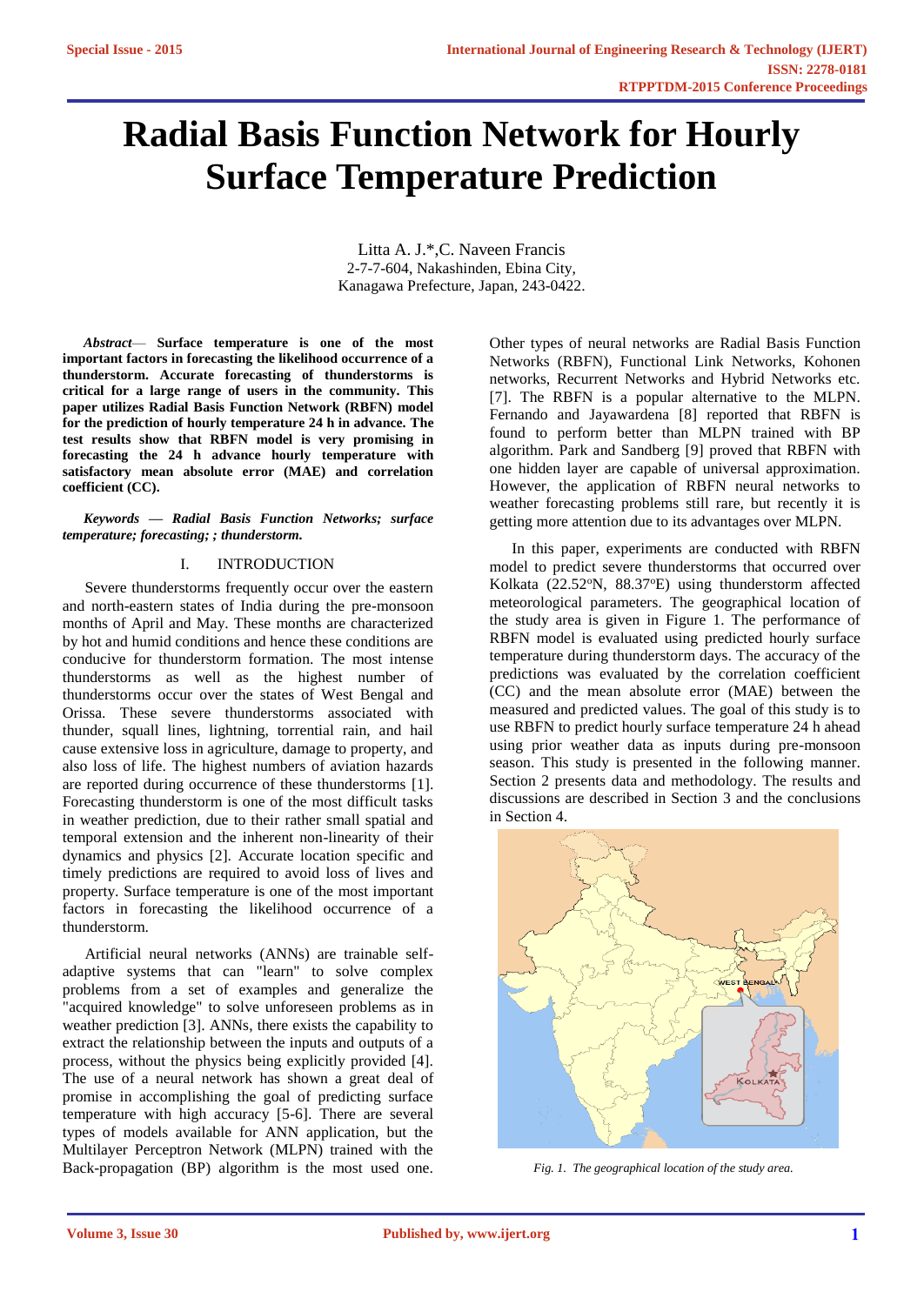# **Radial Basis Function Network for Hourly Surface Temperature Prediction**

Litta A. J.\*,C. Naveen Francis 2-7-7-604, Nakashinden, Ebina City, Kanagawa Prefecture, Japan, 243-0422.

*Abstract*— **Surface temperature is one of the most important factors in forecasting the likelihood occurrence of a thunderstorm. Accurate forecasting of thunderstorms is critical for a large range of users in the community. This paper utilizes Radial Basis Function Network (RBFN) model for the prediction of hourly temperature 24 h in advance. The test results show that RBFN model is very promising in forecasting the 24 h advance hourly temperature with satisfactory mean absolute error (MAE) and correlation coefficient (CC).**

### *Keywords — Radial Basis Function Networks; surface temperature; forecasting; ; thunderstorm.*

## I. INTRODUCTION

Severe thunderstorms frequently occur over the eastern and north-eastern states of India during the pre-monsoon months of April and May. These months are characterized by hot and humid conditions and hence these conditions are conducive for thunderstorm formation. The most intense thunderstorms as well as the highest number of thunderstorms occur over the states of West Bengal and Orissa. These severe thunderstorms associated with thunder, squall lines, lightning, torrential rain, and hail cause extensive loss in agriculture, damage to property, and also loss of life. The highest numbers of aviation hazards are reported during occurrence of these thunderstorms [1]. Forecasting thunderstorm is one of the most difficult tasks in weather prediction, due to their rather small spatial and temporal extension and the inherent non-linearity of their dynamics and physics [2]. Accurate location specific and timely predictions are required to avoid loss of lives and property. Surface temperature is one of the most important factors in forecasting the likelihood occurrence of a thunderstorm.

Artificial neural networks (ANNs) are trainable selfadaptive systems that can "learn" to solve complex problems from a set of examples and generalize the "acquired knowledge" to solve unforeseen problems as in weather prediction [3]. ANNs, there exists the capability to extract the relationship between the inputs and outputs of a process, without the physics being explicitly provided [4]. The use of a neural network has shown a great deal of promise in accomplishing the goal of predicting surface temperature with high accuracy [5-6]. There are several types of models available for ANN application, but the Multilayer Perceptron Network (MLPN) trained with the Back-propagation (BP) algorithm is the most used one.

Other types of neural networks are Radial Basis Function Networks (RBFN), Functional Link Networks, Kohonen networks, Recurrent Networks and Hybrid Networks etc. [7]. The RBFN is a popular alternative to the MLPN. Fernando and Jayawardena [8] reported that RBFN is found to perform better than MLPN trained with BP algorithm. Park and Sandberg [9] proved that RBFN with one hidden layer are capable of universal approximation. However, the application of RBFN neural networks to weather forecasting problems still rare, but recently it is getting more attention due to its advantages over MLPN.

In this paper, experiments are conducted with RBFN model to predict severe thunderstorms that occurred over Kolkata (22.52°N, 88.37°E) using thunderstorm affected meteorological parameters. The geographical location of the study area is given in Figure 1. The performance of RBFN model is evaluated using predicted hourly surface temperature during thunderstorm days. The accuracy of the predictions was evaluated by the correlation coefficient (CC) and the mean absolute error (MAE) between the measured and predicted values. The goal of this study is to use RBFN to predict hourly surface temperature 24 h ahead using prior weather data as inputs during pre-monsoon season. This study is presented in the following manner. Section 2 presents data and methodology. The results and discussions are described in Section 3 and the conclusions in Section 4.



*Fig. 1. The geographical location of the study area.*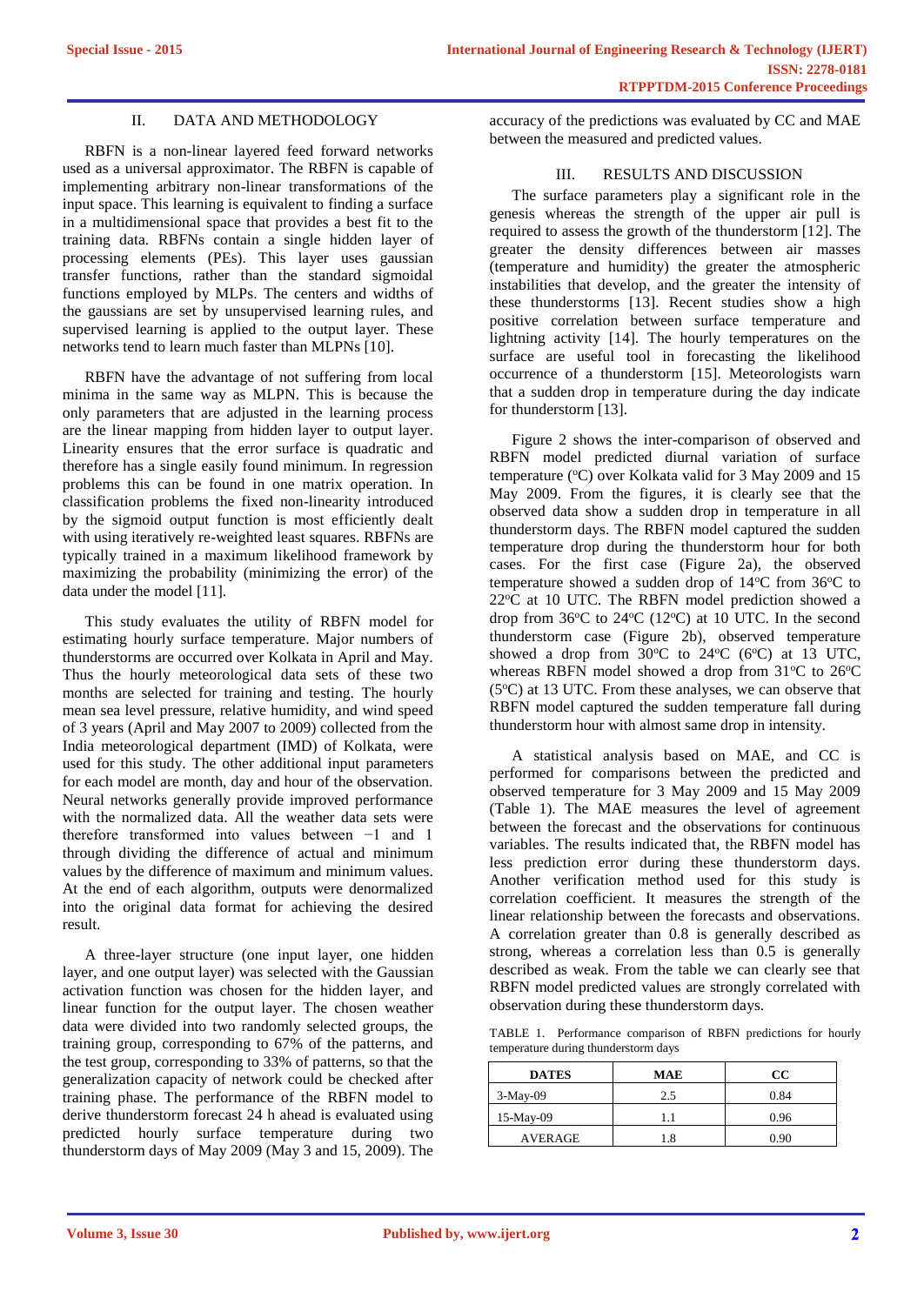## II. DATA AND METHODOLOGY

RBFN is a non-linear layered feed forward networks used as a universal approximator. The RBFN is capable of implementing arbitrary non-linear transformations of the input space. This learning is equivalent to finding a surface in a multidimensional space that provides a best fit to the training data. RBFNs contain a single hidden layer of processing elements (PEs). This layer uses gaussian transfer functions, rather than the standard sigmoidal functions employed by MLPs. The centers and widths of the gaussians are set by unsupervised learning rules, and supervised learning is applied to the output layer. These networks tend to learn much faster than MLPNs [10].

RBFN have the advantage of not suffering from local minima in the same way as MLPN. This is because the only parameters that are adjusted in the learning process are the linear mapping from hidden layer to output layer. Linearity ensures that the error surface is quadratic and therefore has a single easily found minimum. In regression problems this can be found in one matrix operation. In classification problems the fixed non-linearity introduced by the sigmoid output function is most efficiently dealt with using iteratively re-weighted least squares. RBFNs are typically trained in a maximum likelihood framework by maximizing the probability (minimizing the error) of the data under the model [11].

This study evaluates the utility of RBFN model for estimating hourly surface temperature. Major numbers of thunderstorms are occurred over Kolkata in April and May. Thus the hourly meteorological data sets of these two months are selected for training and testing. The hourly mean sea level pressure, relative humidity, and wind speed of 3 years (April and May 2007 to 2009) collected from the India meteorological department (IMD) of Kolkata, were used for this study. The other additional input parameters for each model are month, day and hour of the observation. Neural networks generally provide improved performance with the normalized data. All the weather data sets were therefore transformed into values between −1 and 1 through dividing the difference of actual and minimum values by the difference of maximum and minimum values. At the end of each algorithm, outputs were denormalized into the original data format for achieving the desired result.

A three-layer structure (one input layer, one hidden layer, and one output layer) was selected with the Gaussian activation function was chosen for the hidden layer, and linear function for the output layer. The chosen weather data were divided into two randomly selected groups, the training group, corresponding to 67% of the patterns, and the test group, corresponding to 33% of patterns, so that the generalization capacity of network could be checked after training phase. The performance of the RBFN model to derive thunderstorm forecast 24 h ahead is evaluated using predicted hourly surface temperature during two thunderstorm days of May 2009 (May 3 and 15, 2009). The

accuracy of the predictions was evaluated by CC and MAE between the measured and predicted values.

## III. RESULTS AND DISCUSSION

The surface parameters play a significant role in the genesis whereas the strength of the upper air pull is required to assess the growth of the thunderstorm [12]. The greater the density differences between air masses (temperature and humidity) the greater the atmospheric instabilities that develop, and the greater the intensity of these thunderstorms [13]. Recent studies show a high positive correlation between surface temperature and lightning activity [14]. The hourly temperatures on the surface are useful tool in forecasting the likelihood occurrence of a thunderstorm [15]. Meteorologists warn that a sudden drop in temperature during the day indicate for thunderstorm [13].

Figure 2 shows the inter-comparison of observed and RBFN model predicted diurnal variation of surface temperature (°C) over Kolkata valid for 3 May 2009 and 15 May 2009. From the figures, it is clearly see that the observed data show a sudden drop in temperature in all thunderstorm days. The RBFN model captured the sudden temperature drop during the thunderstorm hour for both cases. For the first case (Figure 2a), the observed temperature showed a sudden drop of  $14^{\circ}$ C from  $36^{\circ}$ C to  $22^{\circ}$ C at 10 UTC. The RBFN model prediction showed a drop from  $36^{\circ}$ C to  $24^{\circ}$ C (12<sup>o</sup>C) at 10 UTC. In the second thunderstorm case (Figure 2b), observed temperature showed a drop from  $30^{\circ}$ C to  $24^{\circ}$ C (6 $^{\circ}$ C) at 13 UTC, whereas RBFN model showed a drop from  $31^{\circ}$ C to  $26^{\circ}$ C  $(5^{\circ}C)$  at 13 UTC. From these analyses, we can observe that RBFN model captured the sudden temperature fall during thunderstorm hour with almost same drop in intensity.

A statistical analysis based on MAE, and CC is performed for comparisons between the predicted and observed temperature for 3 May 2009 and 15 May 2009 (Table 1). The MAE measures the level of agreement between the forecast and the observations for continuous variables. The results indicated that, the RBFN model has less prediction error during these thunderstorm days. Another verification method used for this study is correlation coefficient. It measures the strength of the linear relationship between the forecasts and observations. A correlation greater than 0.8 is generally described as strong, whereas a correlation less than 0.5 is generally described as weak. From the table we can clearly see that RBFN model predicted values are strongly correlated with observation during these thunderstorm days.

TABLE 1. Performance comparison of RBFN predictions for hourly temperature during thunderstorm days

| <b>DATES</b>   | <b>MAE</b> | CC.  |
|----------------|------------|------|
| $3-May-09$     | 2.5        | 0.84 |
| 15-May-09      |            | 0.96 |
| <b>AVERAGE</b> |            | 0.90 |